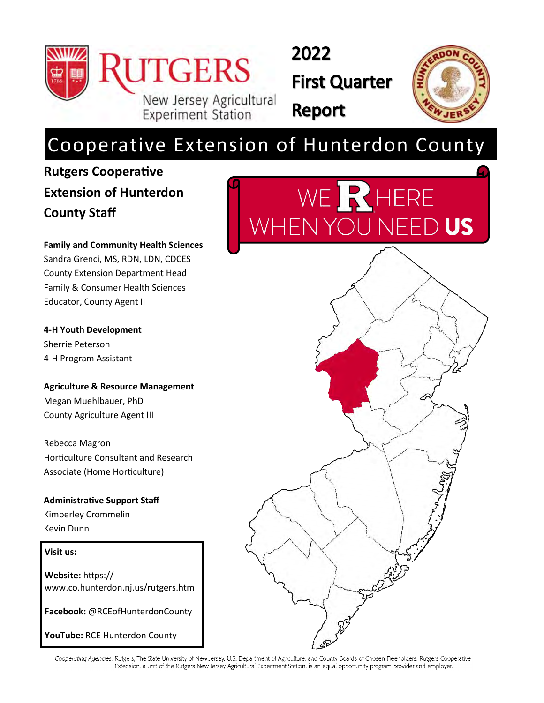

2022 **First Quarter Report** 



# New Jersey Agricultural<br>Experiment Station

# Cooperative Extension of Hunterdon County

**Rutgers Cooperative Extension of Hunterdon County Staff**

**Family and Community Health Sciences** Sandra Grenci, MS, RDN, LDN, CDCES County Extension Department Head Family & Consumer Health Sciences Educator, County Agent II

**4-H Youth Development** Sherrie Peterson 4-H Program Assistant

**Agriculture & Resource Management** Megan Muehlbauer, PhD County Agriculture Agent III

Rebecca Magron Horticulture Consultant and Research Associate (Home Horticulture)

**Administrative Support Staff** Kimberley Crommelin Kevin Dunn

### **Visit us:**

**Website:** https:// www.co.hunterdon.nj.us/rutgers.htm

**Facebook:** @RCEofHunterdonCounty

**YouTube:** RCE Hunterdon County

WE RHERE YOU NEEI  $\supset$  US



Cooperating Agencies: Rutgers, The State University of New Jersey, U.S. Department of Agriculture, and County Boards of Chosen Freeholders. Rutgers Cooperative Extension, a unit of the Rutgers New Jersey Agricultural Experiment Station, is an equal opportunity program provider and employer.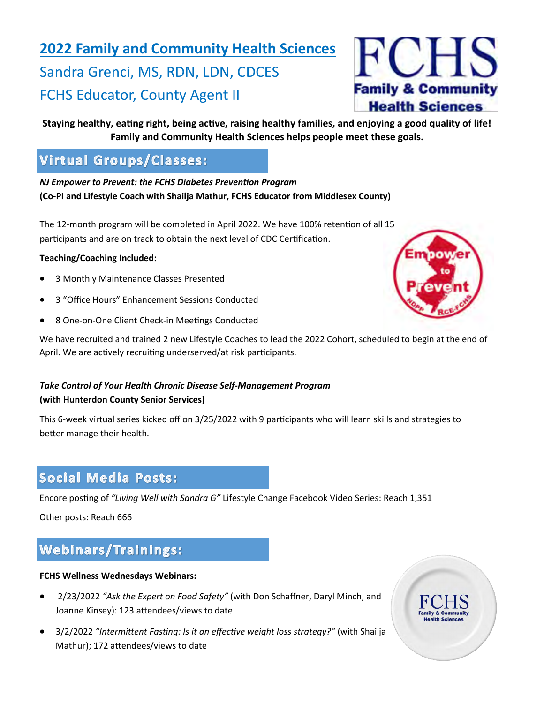# **2022 Family and Community Health Sciences**

Sandra Grenci, MS, RDN, LDN, CDCES FCHS Educator, County Agent II



**Staying healthy, eating right, being active, raising healthy families, and enjoying a good quality of life! Family and Community Health Sciences helps people meet these goals.**

# **Virtual Groups/Classes:**

*NJ Empower to Prevent: the FCHS Diabetes Prevention Program* **(Co-PI and Lifestyle Coach with Shailja Mathur, FCHS Educator from Middlesex County)**

The 12-month program will be completed in April 2022. We have 100% retention of all 15 participants and are on track to obtain the next level of CDC Certification.

### **Teaching/Coaching Included:**

- 3 Monthly Maintenance Classes Presented
- 3 "Office Hours" Enhancement Sessions Conducted
- 8 One-on-One Client Check-in Meetings Conducted

We have recruited and trained 2 new Lifestyle Coaches to lead the 2022 Cohort, scheduled to begin at the end of April. We are actively recruiting underserved/at risk participants.

### *Take Control of Your Health Chronic Disease Self-Management Program* **(with Hunterdon County Senior Services)**

This 6-week virtual series kicked off on 3/25/2022 with 9 participants who will learn skills and strategies to better manage their health.

# **Social Media Posts:**

Encore posting of *"Living Well with Sandra G"* Lifestyle Change Facebook Video Series: Reach 1,351

Other posts: Reach 666

# Webinars/Trainings:

### **FCHS Wellness Wednesdays Webinars:**

- 2/23/2022 *"Ask the Expert on Food Safety"* (with Don Schaffner, Daryl Minch, and Joanne Kinsey): 123 attendees/views to date
- 3/2/2022 *"Intermittent Fasting: Is it an effective weight loss strategy?"* (with Shailja Mathur); 172 attendees/views to date



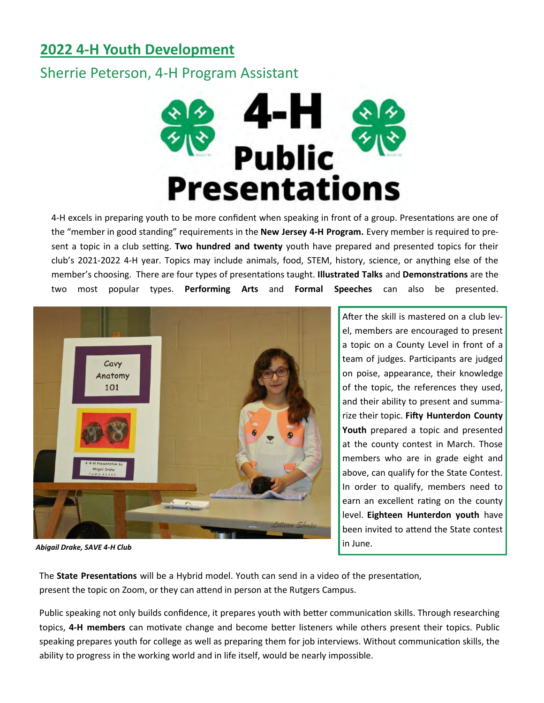### **2022 4-H Youth Development**

### Sherrie Peterson, 4-H Program Assistant



4-H excels in preparing youth to be more confident when speaking in front of a group. Presentations are one of the "member in good standing" requirements in the **New Jersey 4-H Program.** Every member is required to present a topic in a club setting. **Two hundred and twenty** youth have prepared and presented topics for their club's 2021-2022 4-H year. Topics may include animals, food, STEM, history, science, or anything else of the member's choosing. There are four types of presentations taught. **Illustrated Talks** and **Demonstrations** are the two most popular types. **Performing Arts** and **Formal Speeches** can also be presented.



After the skill is mastered on a club level, members are encouraged to present a topic on a County Level in front of a team of judges. Participants are judged on poise, appearance, their knowledge of the topic, the references they used, and their ability to present and summarize their topic. **Fifty Hunterdon County Youth** prepared a topic and presented at the county contest in March. Those members who are in grade eight and above, can qualify for the State Contest. In order to qualify, members need to earn an excellent rating on the county level. **Eighteen Hunterdon youth** have been invited to attend the State contest

The **State Presentations** will be a Hybrid model. Youth can send in a video of the presentation, present the topic on Zoom, or they can attend in person at the Rutgers Campus.

Public speaking not only builds confidence, it prepares youth with better communication skills. Through researching topics, **4-H members** can motivate change and become better listeners while others present their topics. Public speaking prepares youth for college as well as preparing them for job interviews. Without communication skills, the ability to progress in the working world and in life itself, would be nearly impossible.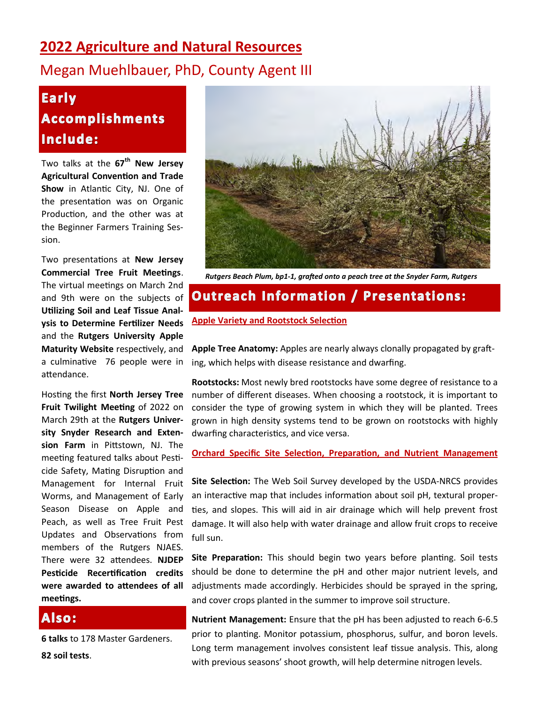# **2022 Agriculture and Natural Resources**

# Megan Muehlbauer, PhD, County Agent III

# **Early Accomplishments** Include:

Two talks at the **67th New Jersey Agricultural Convention and Trade Show** in Atlantic City, NJ. One of the presentation was on Organic Production, and the other was at the Beginner Farmers Training Session.

Two presentations at **New Jersey Commercial Tree Fruit Meetings**. The virtual meetings on March 2nd and 9th were on the subjects of **Utilizing Soil and Leaf Tissue Analysis to Determine Fertilizer Needs** and the **Rutgers University Apple Maturity Website** respectively, and a culminative 76 people were in attendance.

Hosting the first **North Jersey Tree Fruit Twilight Meeting** of 2022 on March 29th at the **Rutgers University Snyder Research and Extension Farm** in Pittstown, NJ. The meeting featured talks about Pesticide Safety, Mating Disruption and Management for Internal Fruit Worms, and Management of Early Season Disease on Apple and Peach, as well as Tree Fruit Pest Updates and Observations from members of the Rutgers NJAES. There were 32 attendees. **NJDEP Pesticide Recertification credits were awarded to attendees of all meetings.**

# Also:

**6 talks** to 178 Master Gardeners. **82 soil tests**.



*Rutgers Beach Plum, bp1-1, grafted onto a peach tree at the Snyder Farm, Rutgers*

# **Outreach Information / Presentations:**

#### **Apple Variety and Rootstock Selection**

**Apple Tree Anatomy:** Apples are nearly always clonally propagated by grafting, which helps with disease resistance and dwarfing.

**Rootstocks:** Most newly bred rootstocks have some degree of resistance to a number of different diseases. When choosing a rootstock, it is important to consider the type of growing system in which they will be planted. Trees grown in high density systems tend to be grown on rootstocks with highly dwarfing characteristics, and vice versa.

#### **Orchard Specific Site Selection, Preparation, and Nutrient Management**

**Site Selection:** The Web Soil Survey developed by the USDA-NRCS provides an interactive map that includes information about soil pH, textural properties, and slopes. This will aid in air drainage which will help prevent frost damage. It will also help with water drainage and allow fruit crops to receive full sun.

**Site Preparation:** This should begin two years before planting. Soil tests should be done to determine the pH and other major nutrient levels, and adjustments made accordingly. Herbicides should be sprayed in the spring, and cover crops planted in the summer to improve soil structure.

**Nutrient Management:** Ensure that the pH has been adjusted to reach 6-6.5 prior to planting. Monitor potassium, phosphorus, sulfur, and boron levels. Long term management involves consistent leaf tissue analysis. This, along with previous seasons' shoot growth, will help determine nitrogen levels.